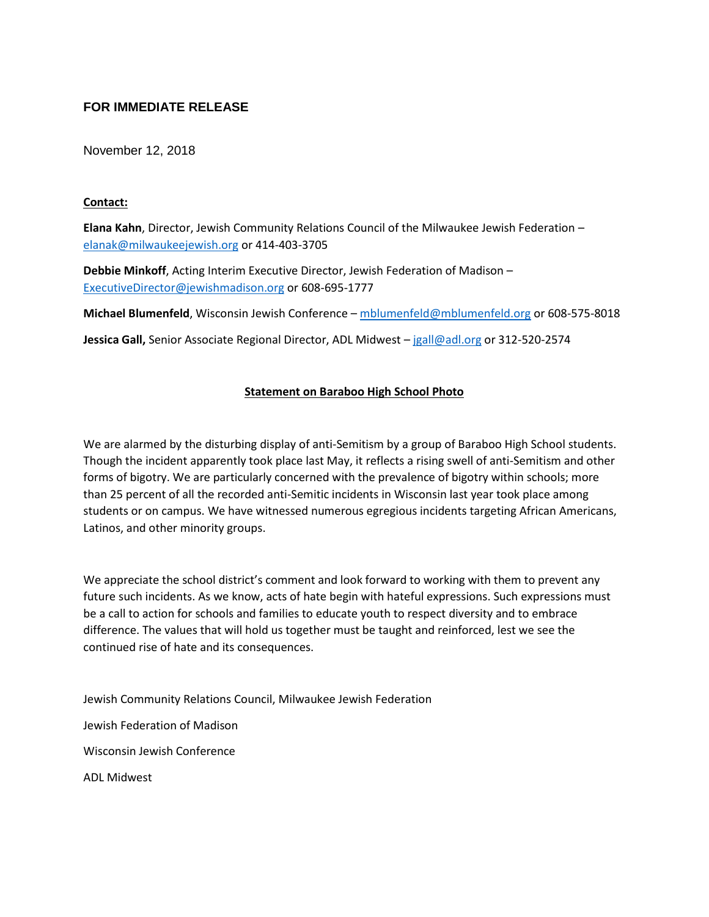## **FOR IMMEDIATE RELEASE**

November 12, 2018

## **Contact:**

**Elana Kahn**, Director, Jewish Community Relations Council of the Milwaukee Jewish Federation – [elanak@milwaukeejewish.org](mailto:elanak@milwaukeejewish.org) or 414-403-3705

**Debbie Minkoff**, Acting Interim Executive Director, Jewish Federation of Madison – [ExecutiveDirector@jewishmadison.org](mailto:ExecutiveDirector@jewishmadison.org) or 608-695-1777

**Michael Blumenfeld**, Wisconsin Jewish Conference – [mblumenfeld@mblumenfeld.org](mailto:mblumenfeld@mblumenfeld.org) or 608-575-8018

**Jessica Gall,** Senior Associate Regional Director, ADL Midwest – [jgall@adl.org](mailto:jgall@adl.org) or 312-520-2574

## **Statement on Baraboo High School Photo**

We are alarmed by the disturbing display of anti-Semitism by a group of Baraboo High School students. Though the incident apparently took place last May, it reflects a rising swell of anti-Semitism and other forms of bigotry. We are particularly concerned with the prevalence of bigotry within schools; more than 25 percent of all the recorded anti-Semitic incidents in Wisconsin last year took place among students or on campus. We have witnessed numerous egregious incidents targeting African Americans, Latinos, and other minority groups.

We appreciate the school district's comment and look forward to working with them to prevent any future such incidents. As we know, acts of hate begin with hateful expressions. Such expressions must be a call to action for schools and families to educate youth to respect diversity and to embrace difference. The values that will hold us together must be taught and reinforced, lest we see the continued rise of hate and its consequences.

Jewish Community Relations Council, Milwaukee Jewish Federation Jewish Federation of Madison Wisconsin Jewish Conference ADL Midwest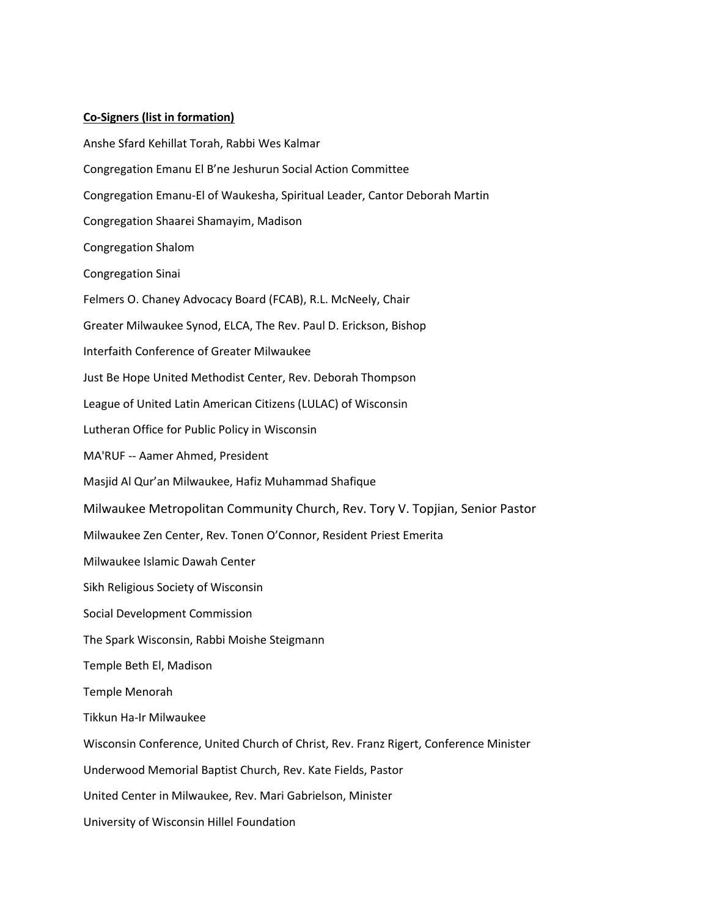## **Co-Signers (list in formation)**

Anshe Sfard Kehillat Torah, Rabbi Wes Kalmar Congregation Emanu El B'ne Jeshurun Social Action Committee Congregation Emanu-El of Waukesha, Spiritual Leader, Cantor Deborah Martin Congregation Shaarei Shamayim, Madison Congregation Shalom Congregation Sinai Felmers O. Chaney Advocacy Board (FCAB), R.L. McNeely, Chair Greater Milwaukee Synod, ELCA, The Rev. Paul D. Erickson, Bishop Interfaith Conference of Greater Milwaukee Just Be Hope United Methodist Center, Rev. Deborah Thompson League of United Latin American Citizens (LULAC) of Wisconsin Lutheran Office for Public Policy in Wisconsin MA'RUF -- Aamer Ahmed, President Masjid Al Qur'an Milwaukee, Hafiz Muhammad Shafique Milwaukee Metropolitan Community Church, Rev. Tory V. Topjian, Senior Pastor Milwaukee Zen Center, Rev. Tonen O'Connor, Resident Priest Emerita Milwaukee Islamic Dawah Center Sikh Religious Society of Wisconsin Social Development Commission The Spark Wisconsin, Rabbi Moishe Steigmann Temple Beth El, Madison Temple Menorah Tikkun Ha-Ir Milwaukee Wisconsin Conference, United Church of Christ, Rev. Franz Rigert, Conference Minister Underwood Memorial Baptist Church, Rev. Kate Fields, Pastor United Center in Milwaukee, Rev. Mari Gabrielson, Minister University of Wisconsin Hillel Foundation